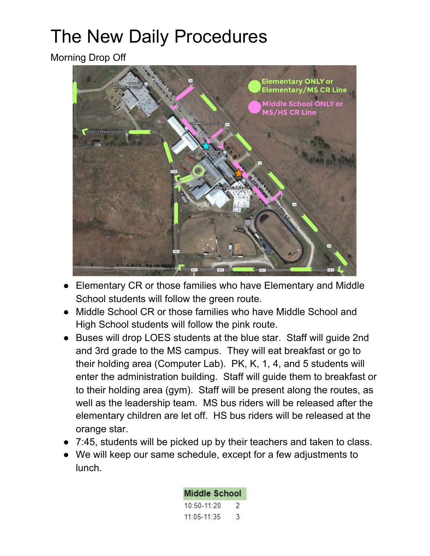## The New Daily Procedures

Morning Drop Off



- Elementary CR or those families who have Elementary and Middle School students will follow the green route.
- Middle School CR or those families who have Middle School and High School students will follow the pink route.
- Buses will drop LOES students at the blue star. Staff will quide 2nd and 3rd grade to the MS campus. They will eat breakfast or go to their holding area (Computer Lab). PK, K, 1, 4, and 5 students will enter the administration building. Staff will guide them to breakfast or to their holding area (gym). Staff will be present along the routes, as well as the leadership team. MS bus riders will be released after the elementary children are let off. HS bus riders will be released at the orange star.
- 7:45, students will be picked up by their teachers and taken to class.
- We will keep our same schedule, except for a few adjustments to lunch.

| <b>Middle School</b> |   |
|----------------------|---|
| 10:50-11:20          | 2 |
| 11:05-11:35          | 3 |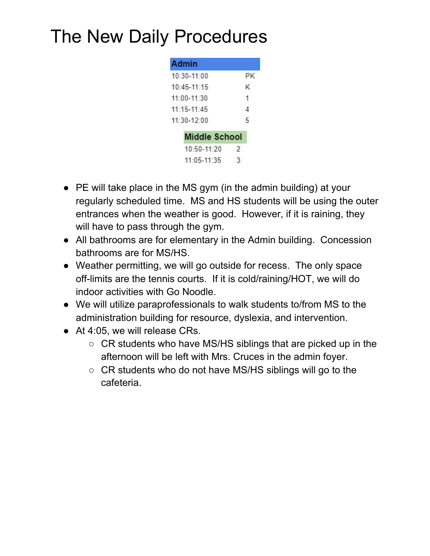## The New Daily Procedures

| РK                   |
|----------------------|
| K                    |
|                      |
| Δ                    |
| г,                   |
| <b>Middle School</b> |
| $\mathcal{P}$        |
|                      |
|                      |

- PE will take place in the MS gym (in the admin building) at your regularly scheduled time. MS and HS students will be using the outer entrances when the weather is good. However, if it is raining, they will have to pass through the gym.
- All bathrooms are for elementary in the Admin building. Concession bathrooms are for MS/HS.
- Weather permitting, we will go outside for recess. The only space off-limits are the tennis courts. If it is cold/raining/HOT, we will do indoor activities with Go Noodle.
- We will utilize paraprofessionals to walk students to/from MS to the administration building for resource, dyslexia, and intervention.
- At 4:05, we will release CRs.
	- $\circ$  CR students who have MS/HS siblings that are picked up in the afternoon will be left with Mrs. Cruces in the admin foyer.
	- CR students who do not have MS/HS siblings will go to the cafeteria.